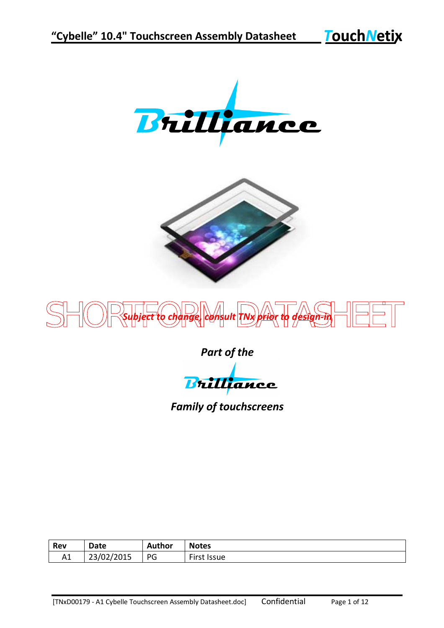**Touch Netix** 







*Part of the*

Brilliance

*Family of touchscreens*

| Rev | Date       | Author | <b>Notes</b> |
|-----|------------|--------|--------------|
| A1  | 23/02/2015 | PG     | First Issue  |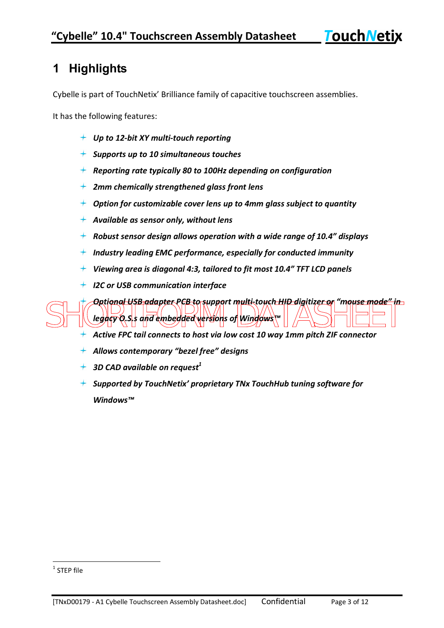**TouchNetix** 

## **1 Highlights**

Cybelle is part of TouchNetix' Brilliance family of capacitive touchscreen assemblies.

It has the following features:

- *Up to 12-bit XY multi-touch reporting*
- *Supports up to 10 simultaneous touches*
- *Reporting rate typically 80 to 100Hz depending on configuration*
- *2mm chemically strengthened glass front lens*
- *Option for customizable cover lens up to 4mm glass subject to quantity*
- *Available as sensor only, without lens*
- *Robust sensor design allows operation with a wide range of 10.4" displays*
- *Industry leading EMC performance, especially for conducted immunity*
- *Viewing area is diagonal 4:3, tailored to fit most 10.4" TFT LCD panels*
- *I2C or USB communication interface*

SHORTFORM DATASHEET *Optional USB adapter PCB to support multi-touch HID digitizer or "mouse mode" in legacy O.S.s and embedded versions of Windows™*

- *Active FPC tail connects to host via low cost 10 way 1mm pitch ZIF connector*
- *Allows contemporary "bezel free" designs*
- *3D CAD available on request<sup>1</sup>*
- *Supported by TouchNetix' proprietary TNx TouchHub tuning software for Windows™*

 1 STEP file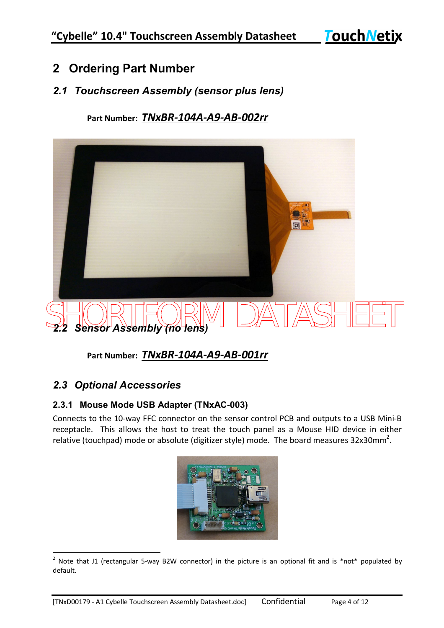**TouchNetix** 

### **2 Ordering Part Number**

#### *2.1 Touchscreen Assembly (sensor plus lens)*

**Part Number:** *TNxBR-104A-A9-AB-002rr*



**Part Number:** *TNxBR-104A-A9-AB-001rr*

#### *2.3 Optional Accessories*

#### **2.3.1 Mouse Mode USB Adapter (TNxAC-003)**

Connects to the 10-way FFC connector on the sensor control PCB and outputs to a USB Mini-B receptacle. This allows the host to treat the touch panel as a Mouse HID device in either relative (touchpad) mode or absolute (digitizer style) mode. The board measures 32x30mm<sup>2</sup>.

| N                        |
|--------------------------|
| õ                        |
| m                        |
|                          |
|                          |
| aз                       |
| <b>OD OVANLARE WATCH</b> |
|                          |

 2 Note that J1 (rectangular 5-way B2W connector) in the picture is an optional fit and is \*not\* populated by default.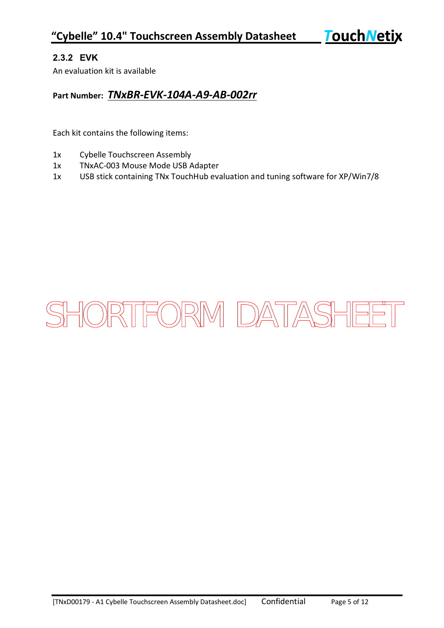#### **2.3.2 EVK**

An evaluation kit is available

#### **Part Number:** *TNxBR-EVK-104A-A9-AB-002rr*

Each kit contains the following items:

- 1x Cybelle Touchscreen Assembly
- 1x TNxAC-003 Mouse Mode USB Adapter
- 1x USB stick containing TNx TouchHub evaluation and tuning software for XP/Win7/8

# SHORTFORM DATASHEET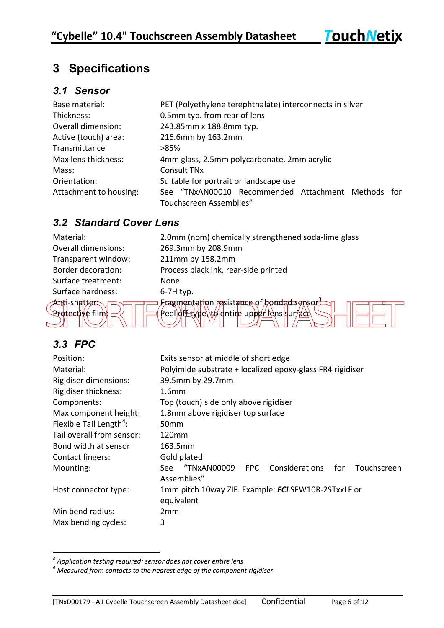**TouchNetix** 

## **3 Specifications**

#### *3.1 Sensor*

| Base material:         | PET (Polyethylene terephthalate) interconnects in silver |  |  |  |
|------------------------|----------------------------------------------------------|--|--|--|
| Thickness:             | 0.5mm typ. from rear of lens                             |  |  |  |
| Overall dimension:     | 243.85mm x 188.8mm typ.                                  |  |  |  |
| Active (touch) area:   | 216.6mm by 163.2mm                                       |  |  |  |
| Transmittance          | >85%                                                     |  |  |  |
| Max lens thickness:    | 4mm glass, 2.5mm polycarbonate, 2mm acrylic              |  |  |  |
| Mass:                  | Consult TN <sub>x</sub>                                  |  |  |  |
| Orientation:           | Suitable for portrait or landscape use                   |  |  |  |
| Attachment to housing: | See "TNxAN00010 Recommended Attachment Methods for       |  |  |  |
|                        | Touchscreen Assemblies"                                  |  |  |  |

#### *3.2 Standard Cover Lens*

| Material:                             | 2.0mm (non            |
|---------------------------------------|-----------------------|
| <b>Overall dimensions:</b>            | 269.3mm by            |
| Transparent window:                   | $211$ mm by $\degree$ |
| <b>Border decoration:</b>             | Process blad          |
| Surface treatment:                    | None                  |
| Surface hardness:                     | $6-7H$ typ.           |
| <u> Anti-shatters</u><br><b>INTEL</b> | <b>Fragmentat</b>     |

Short-shatter:<br>Protective film  $\Box$   $\Box$  (Peel) of type, to entire upper lens surface  $\Box$   $\Box$   $\Box$   $\Box$ m) chemically strengthened soda-lime glass y 208.9mm 158.2mm ck ink, rear-side printed Anti-shatter:  $\Box$  Fragmentation resistance of honded sensor Protective film: $\left|\mathbb{P}\right| \left|\mathbb{P}\right|$  (Peel)off type) to entire upper lens surface

#### *3.3 FPC*

 $\overline{a}$ 

| Position:                           | Exits sensor at middle of short edge                              |  |  |  |  |
|-------------------------------------|-------------------------------------------------------------------|--|--|--|--|
| Material:                           | Polyimide substrate + localized epoxy-glass FR4 rigidiser         |  |  |  |  |
| Rigidiser dimensions:               | 39.5mm by 29.7mm                                                  |  |  |  |  |
| <b>Rigidiser thickness:</b>         | 1.6 <sub>mm</sub>                                                 |  |  |  |  |
| Components:                         | Top (touch) side only above rigidiser                             |  |  |  |  |
| Max component height:               | 1.8mm above rigidiser top surface                                 |  |  |  |  |
| Flexible Tail Length <sup>4</sup> : | 50 <sub>mm</sub>                                                  |  |  |  |  |
| Tail overall from sensor:           | 120mm                                                             |  |  |  |  |
| Bond width at sensor                | 163.5mm                                                           |  |  |  |  |
| Contact fingers:                    | Gold plated                                                       |  |  |  |  |
| Mounting:                           | Considerations<br>"TNxAN00009<br>for<br>Touchscreen<br>FPC<br>See |  |  |  |  |
|                                     | Assemblies"                                                       |  |  |  |  |
| Host connector type:                | 1mm pitch 10way ZIF. Example: FCI SFW10R-2STxxLF or               |  |  |  |  |
|                                     | equivalent                                                        |  |  |  |  |
| Min bend radius:                    | 2 <sub>mm</sub>                                                   |  |  |  |  |
| Max bending cycles:                 | 3                                                                 |  |  |  |  |

<sup>3</sup> *Application testing required: sensor does not cover entire lens*

*<sup>4</sup> Measured from contacts to the nearest edge of the component rigidiser*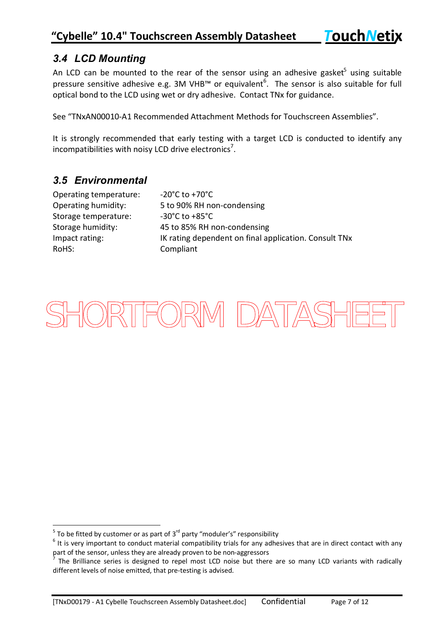#### *3.4 LCD Mounting*

An LCD can be mounted to the rear of the sensor using an adhesive gasket<sup>5</sup> using suitable pressure sensitive adhesive e.g. 3M VHB<sup> $m$ </sup> or equivalent<sup>6</sup>. The sensor is also suitable for full optical bond to the LCD using wet or dry adhesive. Contact TNx for guidance.

See "TNxAN00010-A1 Recommended Attachment Methods for Touchscreen Assemblies".

It is strongly recommended that early testing with a target LCD is conducted to identify any incompatibilities with noisy LCD drive electronics<sup>7</sup>.

#### *3.5 Environmental*

| Operating temperature: |
|------------------------|
| Operating humidity:    |
| Storage temperature:   |
| Storage humidity:      |
| Impact rating:         |
| RoHS:                  |

 $-20^{\circ}$ C to  $+70^{\circ}$ C 5 to 90% RH non-condensing  $-30^{\circ}$ C to  $+85^{\circ}$ C 45 to 85% RH non-condensing IK rating dependent on final application. Consult TNx Compliant

# SHORTFORM DATASHEET

<sup>&</sup>lt;u>Figure 2.</u><br>To be fitted by customer or as part of 3<sup>rd</sup> party "moduler's" responsibility

 $<sup>6</sup>$  It is very important to conduct material compatibility trials for any adhesives that are in direct contact with any</sup> part of the sensor, unless they are already proven to be non-aggressors

 $<sup>7</sup>$  The Brilliance series is designed to repel most LCD noise but there are so many LCD variants with radically</sup> different levels of noise emitted, that pre-testing is advised.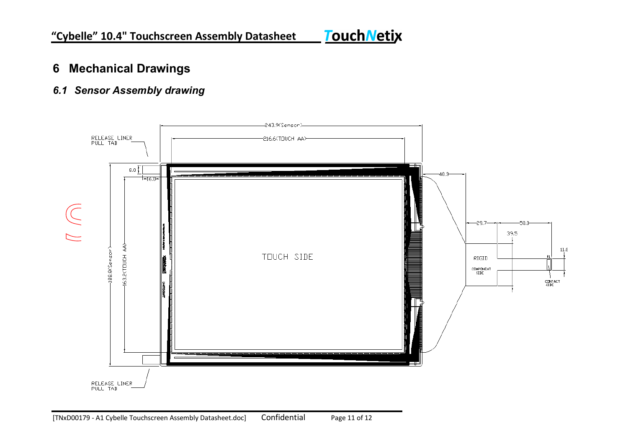# **Touch Netix**

### **6 Mechanical Drawings**

#### *6.1 Sensor Assembly drawing*